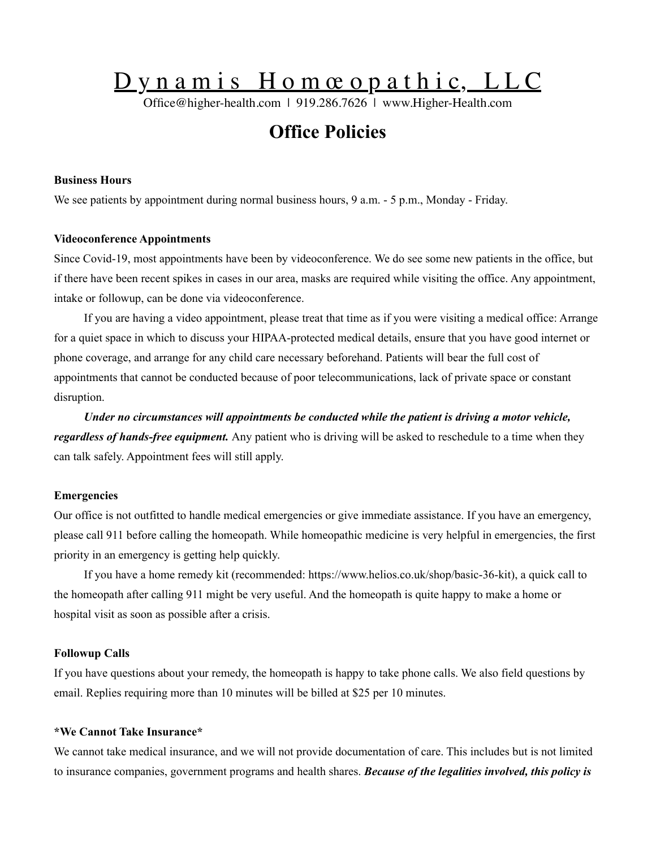# Dynamis Homœopathic, LLC

Office@higher-health.com | 919.286.7626 | www.Higher-Health.com

# **Office Policies**

# **Business Hours**

We see patients by appointment during normal business hours, 9 a.m. - 5 p.m., Monday - Friday.

#### **Videoconference Appointments**

Since Covid-19, most appointments have been by videoconference. We do see some new patients in the office, but if there have been recent spikes in cases in our area, masks are required while visiting the office. Any appointment, intake or followup, can be done via videoconference.

If you are having a video appointment, please treat that time as if you were visiting a medical office: Arrange for a quiet space in which to discuss your HIPAA-protected medical details, ensure that you have good internet or phone coverage, and arrange for any child care necessary beforehand. Patients will bear the full cost of appointments that cannot be conducted because of poor telecommunications, lack of private space or constant disruption.

*Under no circumstances will appointments be conducted while the patient is driving a motor vehicle, regardless of hands-free equipment.* Any patient who is driving will be asked to reschedule to a time when they can talk safely. Appointment fees will still apply.

#### **Emergencies**

Our office is not outfitted to handle medical emergencies or give immediate assistance. If you have an emergency, please call 911 before calling the homeopath. While homeopathic medicine is very helpful in emergencies, the first priority in an emergency is getting help quickly.

If you have a home remedy kit (recommended: [https://www.helios.co.uk/shop/basic-36-kit\)](https://www.helios.co.uk/shop/basic-36-kit), a quick call to the homeopath after calling 911 might be very useful. And the homeopath is quite happy to make a home or hospital visit as soon as possible after a crisis.

#### **Followup Calls**

If you have questions about your remedy, the homeopath is happy to take phone calls. We also field questions by email. Replies requiring more than 10 minutes will be billed at \$25 per 10 minutes.

# **\*We Cannot Take Insurance\***

We cannot take medical insurance, and we will not provide documentation of care. This includes but is not limited to insurance companies, government programs and health shares. *Because of the legalities involved, this policy is*